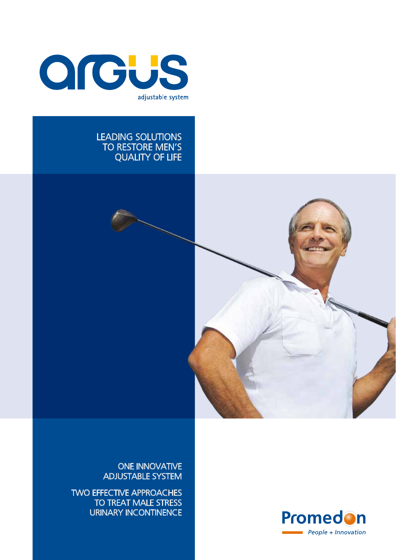

#### LEADING SOLUTIONS TO RESTORE MEN'S QUALITY OF LIFE



ONE INNOVATIVE ADJUSTABLE SYSTEM

TWO EFFECTIVE APPROACHES TO TREAT MALE STRESS URINARY INCONTINENCE

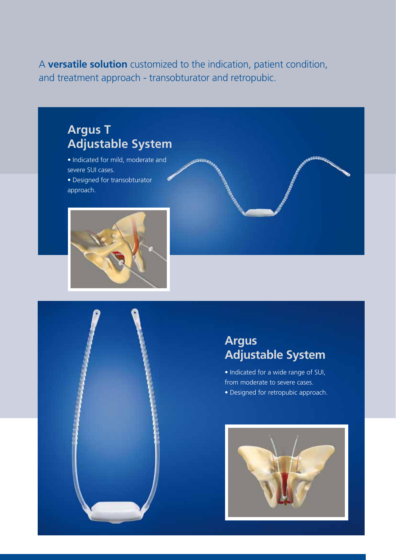A **versatile solution** customized to the indication, patient condition, and treatment approach - transobturator and retropubic.

# **Argus T Adjustable System**

• Indicated for mild, moderate and severe SUI cases.

• Designed for transobturator approach.



## **Argus Adjustable System**

• Indicated for a wide range of SUI, from moderate to severe cases.

• Designed for retropubic approach.

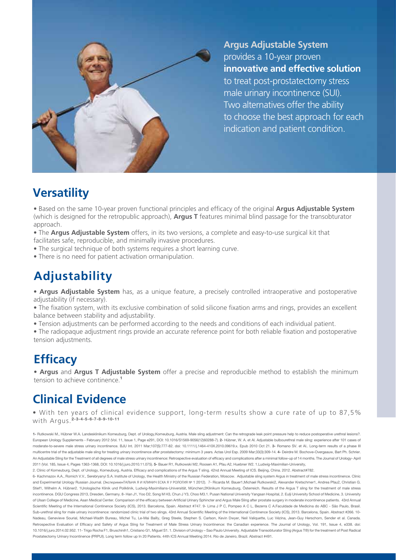

**Argus Adjustable System**  provides a 10-year proven **innovative and effective solution** to treat post-prostatectomy stress male urinary incontinence (SUI). Two alternatives offer the ability to choose the best approach for each indication and patient condition.

### **Versatility**

• Based on the same 10-year proven functional principles and efficacy of the original **Argus Adjustable System** (which is designed for the retropublic approach), **Argus T** features minimal blind passage for the transobturator approach.

• The **Argus Adjustable System** offers, in its two versions, a complete and easy-to-use surgical kit that facilitates safe, reproducible, and minimally invasive procedures.

- The surgical technique of both systems requires a short learning curve.
- There is no need for patient activation ormanipulation.

# **Adjustability**

• **Argus Adjustable System** has, as a unique feature, a precisely controlled intraoperative and postoperative adjustability (if necessary).

• The fixation system, with its exclusive combination of solid silicone fixation arms and rings, provides an excellent balance between stability and adjustability.

• Tension adjustments can be performed according to the needs and conditions of each individual patient.

• The radiopaque adjustment rings provide an accurate reference point for both reliable fixation and postoperative tension adjustments.

#### **Efficacy**

• **Argus** and **Argus T Adjustable System** offer a precise and reproducible method to establish the minimum tension to achieve continence.<sup>1</sup>

#### **Clinical Evidence**

• With ten years of clinical evidence support, long-term results show a cure rate of up to 87,5% with Argus.<sup>2-3-4-5-6-7-8-9-10-11</sup>

1- Rutkowski M., Hübner W.A. Landesklinikum Korneuburg, Dept. of Urology,Korneuburg, Austria. Male sling adjustment: Can the retrograde leak point pressure help to reduce postoperative urethral lesions?. European Urology Supplements - February 2012 (Vol. 11, Issue 1, Page e291, DOI: 10.1016/S1569-9056(12)60288-7). 2- Hübner, W. A. et Al. Adjustable bulbourethral male sling: experience after 101 cases of moderate-to-severe male stress urinary incontinence. BJU Int. 2011 Mar;107(5):777-82. doi: 10.1111/<sub>1</sub>.1464-410X.2010.09619.x. Epub 2010 Oct 21. 3- Romano SV. et Al.. Long-term results of a phase III multicentre trial of the adjustable male sling for treating urinary incontinence after prostatectomy: minimum 3 years. Actas Urol Esp. 2009 Mar;33(3):309-14. 4- Deirdre M. Bochove-Overgaauw, Bart Ph. Schrier. An Adjustable Sling for the Treatment of all degrees of male stress urinary incontinence: Retrospective evaluation of efficacy and complications after a minimal follow-up of 14 months. The Journal of Urology- April 2011 (Vol. 185, Issue 4, Pages 1363-1368, DOI: 10.1016/j.juro.2010.11.075). 5- Bauer R1, Rutkowski M2, Roosen A1, Pfau A2, Huebner W2. 1.Ludwig-Maximilian-University,

2. Clinic of Korneuburg, Dept. of Urology, Korneuburg, Austria. Efficacy and complications of the Argus T sling. 42nd Annual Meeting of ICS. Beijing, China. 2012. Abstract#782.

6- Kachmazov A.A., Romich V.V., Serebryanyi S.A. Institute of Urology, the Health Ministry of the Russian Federation, Moscow. Adjustable sling system Argus in treatment of male stress incontinence. Clinic and Experimental Urology Russian Journal. (ЭксперименТАЛЬНА Я И КЛИНИЧ ЕСКА Я У РОЛОГИЯ № 1 2012). 7- Ricarda M. Bauer1,Michael Rutkowski2, Alexander Kretschmer1, Andrea Pfau2, Christian G. Stief1, Wilhelm A. Hübner2. 1Urologische Klinik und Poliklinik, Ludwig-Maximilians-Universität, München;2Klinikum Korneuburg, Österreich. Results of the Argus T sling for the treatment of male stress incontinence. DGU Congress 2013, Dresden, Germany. 8- Han J1, Yoo D2, Song M H3, Chun J Y3, Choo M3.1. Pusan National University Yangsan Hospital, 2. Eulji University School of Medicine, 3. University of Ulsan College of Medicine, Asan Medical Center. Comparison of the efficacy between Artificial Urinary Sphincter and Argus Male Sling after prostate surgery in moderate incontinence patients. 43rd Annual Scientific Meeting of the International Continence Society (ICS), 2013. Barcelona, Spain. Abstract #747. 9- Lima J P C, Pompeo A C L, Bezerra C A.Faculdade de Medicina do ABC - São Paulo, Brasil. Sub-urethral sling for male urinary incontinence: randomized clinic trial of two slings. 43rd Annual Scientific Meeting of the International Continence Society (ICS), 2013. Barcelona, Spain, Abstract #266. 10-Nadeau, Genevieve Sourial, Michael-Wadih Bureau, Michel Tu, Le-Mai Bailly, Greg Steele, Stephen S. Carlson, Kevin Dwyer, Neil Valiquette, Luc Vézina, Jean-Guy Herschorn, Sender et al. Canada. Retrospective Evaluation of Efficacy and Safety of Argus Sling for Treatment of Male Stress Urinary Incontinence: the Canadian experience. The Journal of Urology, Vol. 191, Issue 4, e338. doi: 10.1016/j.juro.2014.02.952. 11- Trigo Rocha F1, Bruschinih1, Cristiano G1, Miguel S1. 1. Division of Urology – Sao Paulo University. Adjustable Transobturator Sling (Argus T®) for the treatment of Post Radical Prostatectomy Urinary Incontinence (PRPUI). Long term follow up In 20 Patients. 44th ICS Annual Meeting 2014. Rio de Janeiro, Brazil. Abstract #491.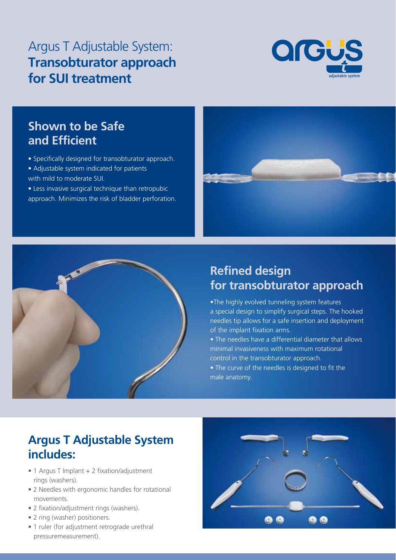# Argus T Adjustable System: **Transobturator approach for SUI treatment**



#### **Shown to be Safe and Efficient**

- Specifically designed for transobturator approach.
- Adjustable system indicated for patients with mild to moderate SUI.
- Less invasive surgical technique than retropubic approach. Minimizes the risk of bladder perforation.





#### **Refined design for transobturator approach**

- •The highly evolved tunneling system features a special design to simplify surgical steps. The hooked needles tip allows for a safe insertion and deployment of the implant fixation arms.
- The needles have a differential diameter that allows minimal invasiveness with maximum rotational control in the transobturator approach.
- The curve of the needles is designed to fit the male anatomy.

### **Argus T Adjustable System includes:**

- 1 Argus T Implant + 2 fixation/adjustment rings (washers).
- 2 Needles with ergonomic handles for rotational movements.
- 2 fixation/adjustment rings (washers).
- 2 ring (washer) positioners.
- 1 ruler (for adjustment retrograde urethral pressuremeasurement).

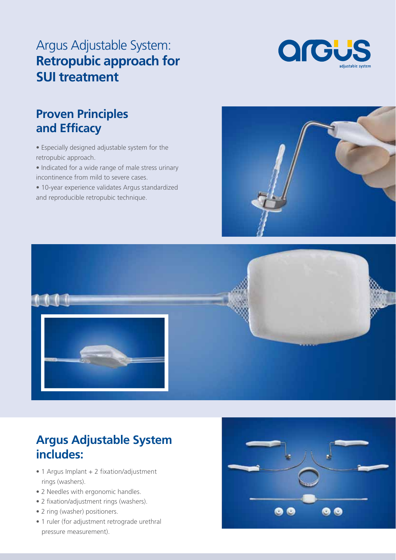# Argus Adjustable System: **Retropubic approach for SUI treatment**



### **Proven Principles and Efficacy**

- Especially designed adjustable system for the retropubic approach.
- Indicated for a wide range of male stress urinary incontinence from mild to severe cases.
- 10-year experience validates Argus standardized and reproducible retropubic technique.





## **Argus Adjustable System includes:**

- 1 Argus Implant + 2 fixation/adjustment rings (washers).
- 2 Needles with ergonomic handles.
- 2 fixation/adjustment rings (washers).
- 2 ring (washer) positioners.
- 1 ruler (for adjustment retrograde urethral pressure measurement).